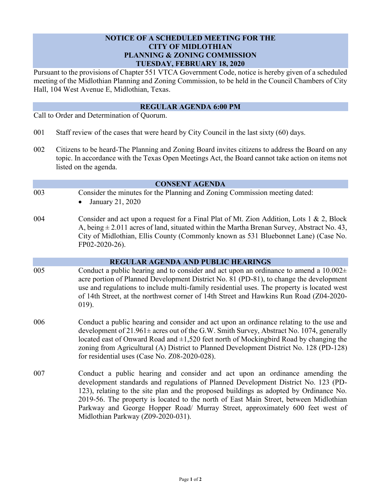# **NOTICE OF A SCHEDULED MEETING FOR THE CITY OF MIDLOTHIAN PLANNING & ZONING COMMISSION TUESDAY, FEBRUARY 18, 2020**

Pursuant to the provisions of Chapter 551 VTCA Government Code, notice is hereby given of a scheduled meeting of the Midlothian Planning and Zoning Commission, to be held in the Council Chambers of City Hall, 104 West Avenue E, Midlothian, Texas.

### **REGULAR AGENDA 6:00 PM**

Call to Order and Determination of Quorum.

- 001 Staff review of the cases that were heard by City Council in the last sixty (60) days.
- 002 Citizens to be heard-The Planning and Zoning Board invites citizens to address the Board on any topic. In accordance with the Texas Open Meetings Act, the Board cannot take action on items not listed on the agenda.

#### **CONSENT AGENDA**

003 Consider the minutes for the Planning and Zoning Commission meeting dated:

January 21, 2020

004 Consider and act upon a request for a Final Plat of Mt. Zion Addition, Lots 1 & 2, Block A, being  $\pm$  2.011 acres of land, situated within the Martha Brenan Survey, Abstract No. 43, City of Midlothian, Ellis County (Commonly known as 531 Bluebonnet Lane) (Case No. FP02-2020-26).

# **REGULAR AGENDA AND PUBLIC HEARINGS**

- 005 Conduct a public hearing and to consider and act upon an ordinance to amend a  $10.002\pm$ acre portion of Planned Development District No. 81 (PD-81), to change the development use and regulations to include multi-family residential uses. The property is located west of 14th Street, at the northwest corner of 14th Street and Hawkins Run Road (Z04-2020- 019).
- 006 Conduct a public hearing and consider and act upon an ordinance relating to the use and development of 21.961± acres out of the G.W. Smith Survey, Abstract No. 1074, generally located east of Onward Road and  $\pm 1,520$  feet north of Mockingbird Road by changing the zoning from Agricultural (A) District to Planned Development District No. 128 (PD-128) for residential uses (Case No. Z08-2020-028).
- 007 Conduct a public hearing and consider and act upon an ordinance amending the development standards and regulations of Planned Development District No. 123 (PD-123), relating to the site plan and the proposed buildings as adopted by Ordinance No. 2019-56. The property is located to the north of East Main Street, between Midlothian Parkway and George Hopper Road/ Murray Street, approximately 600 feet west of Midlothian Parkway (Z09-2020-031).